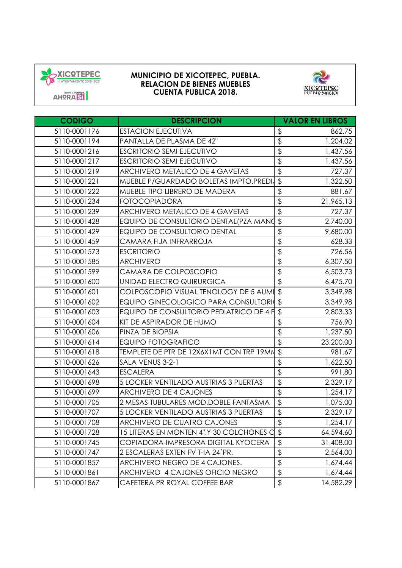



**CODIGO DESCRIPCION VALOR EN LIBROS** 5110-0001176 ESTACION EJECUTIVA \$ 862.75 5110-0001194 | PANTALLA DE PLASMA DE 42" | \$ 1,204.02 5110-0001216 **ESCRITORIO SEMI EJECUTIVO** 1,437.56 5110-0001217 ESCRITORIO SEMI EJECUTIVO 1.437.56 5110-0001219 ARCHIVERO METALICO DE 4 GAVETAS 18 727.37 5110-0001221 MUEBLE P/GUARDADO BOLETAS IMPTO.PREDIJ \$ 1,322.50 5110-0001222 MUEBLE TIPO LIBRERO DE MADERA  $\vert$ \$ 881.67 5110-0001234 FOTOCOPIADORA \$ 21,965.13 5110-0001239 ARCHIVERO METALICO DE 4 GAVETAS 727.37 \$ 5110-0001428 **EQUIPO DE CONSULTORIO DENTAL(PZA MANO \$** 2,740.00 5110-0001429 EQUIPO DE CONSULTORIO DENTAL 9,680.00 \$ 5110-0001459 CAMARA FIJA INFRARROJA | \$ 628.33 5110-0001573 ESCRITORIO \$ 726.56 5110-0001585 ARCHIVERO \$ 6,307.50 5110-0001599 CAMARA DE COLPOSCOPIO | \$ 6,503.73 5110-0001600 UNIDAD ELECTRO QUIRURGICA 6,475.70 \$ 5110-0001601 COLPOSCOPIO VISUAL TENOLOGY DE 5 AUMES 3,349.98 5110-0001602 EQUIPO GINECOLOGICO PARA CONSULTORIOS 3,349.98 5110-0001603 EQUIPO DE CONSULTORIO PEDIATRICO DE 4 FI \$ 2,803.33 5110-0001604 KIT DE ASPIRADOR DE HUMO  $\begin{array}{ccc} 5 & 3 \\ 1 & 3 \end{array}$  756.90 5110-0001606 PINZA DE BIOPSIA \$ 1,237.50 5110-0001614 EQUIPO FOTOGRAFICO \$ 23,200.00 5110-0001618 TEMPLETE DE PTR DE 12X6X1MT CON TRP 19MM\$ 981.67 5110-0001626 SALA VENUS 3-2-1 \$ 1,622.50 5110-0001643 ESCALERA \$ 991.80 5110-0001698 5 LOCKER VENTILADO AUSTRIAS 3 PUERTAS 2, \$ 329.17 5110-0001699 | ARCHIVERO DE 4 CAJONES | \$ 1,254.17 5110-0001705 2 MESAS TUBULARES MOD.DOBLE FANTASMA  $\frac{1}{3}$  1,075.00 5110-0001707 **5 LOCKER VENTILADO AUSTRIAS 3 PUERTAS 5 15** 2,329.17 5110-0001708 | ARCHIVERO DE CUATRO CAJONES | \$ 1,254.17 5110-0001728 15 LITERAS EN MONTEN 4".Y 30 COLCHONES O \$ 64,594.60 5110-0001745 COPIADORA-IMPRESORA DIGITAL KYOCERA \\$31,408.00 5110-0001747 2 ESCALERAS EXTEN FV T-IA 24<sup>'</sup>PR.  $\frac{1}{3}$  110-0001747 2,564.00 5110-0001857 **ARCHIVERO NEGRO DE 4 CAJONES.** 1,574.44 5110-0001861 ARCHIVERO 4 CAJONES OFICIO NEGRO 1, \$ 4444444 5110-0001867 CAFETERA PR ROYAL COFFEE BAR 14,582.29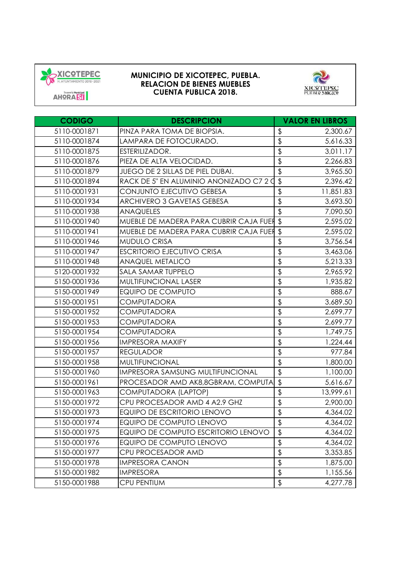



**CODIGO DESCRIPCION VALOR EN LIBROS** 5110-0001871 PINZA PARA TOMA DE BIOPSIA. 2,300.67 \$ 5110-0001874 **LAMPARA DE FOTOCURADO.** 5,616.33 5110-0001875 ESTERILIZADOR. \$ 3,011.17 5110-0001876 PIEZA DE ALTA VELOCIDAD. 2,266.83 \$ 5110-0001879 **JUEGO DE 2 SILLAS DE PIEL DUBAI. 5** 3,965.50 5110-0001894 RACK DE 5" EN ALUMINIO ANONIZADO C7  $2 \cancel{0}$  \$ 2,396.42 5110-0001931 CONJUNTO EJECUTIVO GEBESA 11,851.83 \$ 5110-0001934 ARCHIVERO 3 GAVETAS GEBESA 3,693.50 \$ 5110-0001938 ANAQUELES \$ 7,090.50 5110-0001940 MUEBLE DE MADERA PARA CUBRIR CAJA FUERTS 2,595.02 5110-0001941 MUEBLE DE MADERA PARA CUBRIR CAJA FUER \$ 2,595.02 5110-0001946 MUDULO CRISA \$ 3,756.54 5110-0001947 ESCRITORIO EJECUTIVO CRISA 3,463.06 \$ 5110-0001948 ANAQUEL METALICO \$ 5,213.33 5120-0001932 SALA SAMAR TUPPELO \$ 2,965.92 5150-0001936 | MULTIFUNCIONAL LASER | \$ 1,935.82 5150-0001949 EQUIPO DE COMPUTO \$ 888.67 5150-0001951 COMPUTADORA \$ 3,689.50 5150-0001952 COMPUTADORA \$ 2,699.77 5150-0001953 COMPUTADORA \$ 2,699.77 5150-0001954 COMPUTADORA \$ 1,749.75 5150-0001956 IMPRESORA MAXIFY 1.224.44 5150-0001957 REGULADOR \$ 977.84 5150-0001958 MULTIFUNCIONAL \$ 1,800.00 5150-0001960 |IMPRESORA SAMSUNG MULTIFUNCIONAL | \$ 1,100.00 5150-0001961 **PROCESADOR AMD AK8,8GBRAM, COMPUTA** \$ 5,616.67 5150-0001963 COMPUTADORA (LAPTOP) 13,999.61 \$ 5150-0001972 CPU PROCESADOR AMD 4 A2.9 GHZ 2,900.00 \$ 5150-0001973 EQUIPO DE ESCRITORIO LENOVO 4,364.02 \$ 5150-0001974 EQUIPO DE COMPUTO LENOVO 4,364.02 \$ 5150-0001975 **EQUIPO DE COMPUTO ESCRITORIO LENOVO** | \$4,364,02 5150-0001976 EQUIPO DE COMPUTO LENOVO 4,364.02 \$ 5150-0001977 CPU PROCESADOR AMD \$ 3,353.85 5150-0001978 IMPRESORA CANON \$ 1,875.00 5150-0001982 IMPRESORA \$ 1,155.56 5150-0001988 CPU PENTIUM \$ 4,277.78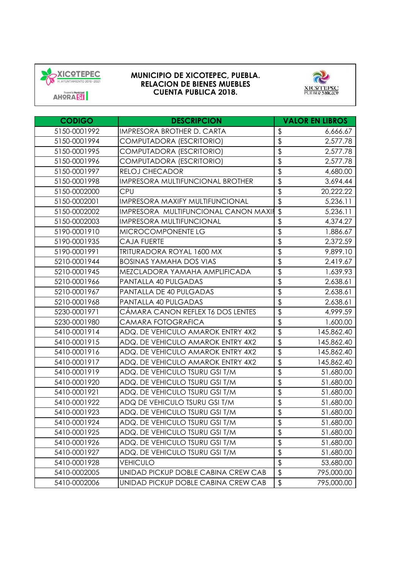



**CODIGO DESCRIPCION VALOR EN LIBROS** 5150-0001992 |IMPRESORA BROTHER D. CARTA | \$666.67 5150-0001994 COMPUTADORA (ESCRITORIO) 2,577.78 \$ 5150-0001995 COMPUTADORA (ESCRITORIO) 2,577.78 \$ 5150-0001996 COMPUTADORA (ESCRITORIO) 2,577.78 \$ 5150-0001997 RELOJ CHECADOR \$ 4,680.00 5150-0001998 IMPRESORA MULTIFUNCIONAL BROTHER \$ 3.694.44 5150-0002000 CPU \$ 20,222.22 5150-0002001 IMPRESORA MAXIFY MULTIFUNCIONAL  $\begin{array}{|c|c|c|c|c|c|}\hline 5 & 5,236.11 & \text{[J} \end{array}$ 5150-0002002 IMPRESORA MULTIFUNCIONAL CANON MAXIFS 5,236.11 5150-0002003 IMPRESORA MULTIFUNCIONAL 4,374.27 \$ 5190-0001910 MICROCOMPONENTE LG \$ 1,886.67 5190-0001935 CAJA FUERTE \$ 2,372.59 5190-0001991 TRITURADORA ROYAL 1600 MX 9,899.10 \$ 5210-0001944 BOSINAS YAMAHA DOS VIAS  $\boxed{\$}$  2,419.67 5210-0001945 MEZCLADORA YAMAHA AMPLIFICADA 1 \$ 1,639.93 5210-0001966 PANTALLA 40 PULGADAS \$ 2,638.61 5210-0001967 PANTALLA DE 40 PULGADAS 2,638.61 \$ 5210-0001968 PANTALLA 40 PULGADAS \$ 2,638.61 5230-0001971 CÁMARA CANON REFLEX T6 DOS LENTES 4,999. \$ 59 5230-0001980 CAMARA FOTOGRAFICA \$ 1,600.00 5410-0001914 | ADQ. DE VEHICULO AMAROK ENTRY 4X2 | \$10001914 | ADQ. DE VEHICULO AMAROK ENTRY 4X2 5410-0001915 **ADQ. DE VEHICULO AMAROK ENTRY 4X2** 1 \$ 145,862.40 5410-0001916 **ADQ. DE VEHICULO AMAROK ENTRY 4X2** 15 145,862.40 5410-0001917 | ADQ. DE VEHICULO AMAROK ENTRY 4X2 | \$145,862.40 5410-0001919 | ADQ. DE VEHICULO TSURU GSI T/M | \$ 51,680.00 5410-0001920 ADQ. DE VEHICULO TSURU GSI T/M 51,680.00 5410-0001921 ADQ. DE VEHICULO TSURU GSI T/M  $\frac{1}{3}$  51,680.00 5410-0001922 ADQ DE VEHICULO TSURU GSI T/M 51,680.00 5410-0001923 **ADQ. DE VEHICULO TSURU GSI T/M** 51,680.00 5410-0001924 ADQ. DE VEHICULO TSURU GSI T/M 51,680.00 \$ 5410-0001925 ADQ. DE VEHICULO TSURU GSI T/M 51,680.00 5410-0001926 ADQ. DE VEHICULO TSURU GSI T/M 51,680.00 5410-0001927 ADQ. DE VEHICULO TSURU GSI T/M 51,680.00 5410-0001928 VEHICULO \$ 53,680.00 5410-0002005 UNIDAD PICKUP DOBLE CABINA CREW CAB  $\vert$  \$ 795,000.00 5410-0002006 UNIDAD PICKUP DOBLE CABINA CREW CAB 5 795,000.00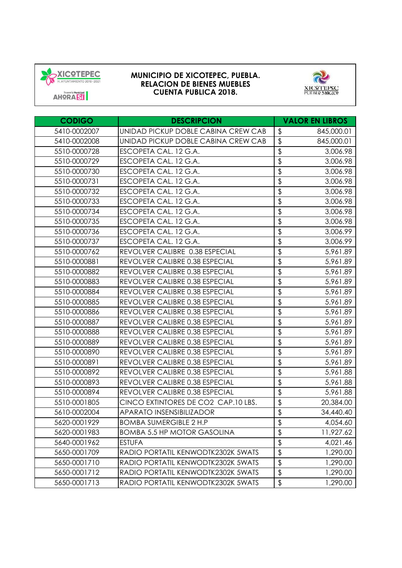



**CODIGO DESCRIPCION VALOR EN LIBROS** 5410-0002007 UNIDAD PICKUP DOBLE CABINA CREW CAB | \$ 645,000.01  $5410-0002008$  UNIDAD PICKUP DOBLE CABINA CREW CAB  $\frac{1}{3}$  845,000.01 5510-0000728 ESCOPETA CAL. 12 G.A. \$ 3,006.98 5510-0000729 ESCOPETA CAL. 12 G.A. \$ 3,006.98 5510-0000730 ESCOPETA CAL. 12 G.A. \$ 3,006.98 5510-0000731 ESCOPETA CAL. 12 G.A. \$ 3,006.98 5510-0000732 ESCOPETA CAL. 12 G.A.  $\begin{array}{|c|c|c|c|c|c|}\n\hline\n\text{5} & \text{5} & \text{3} & \text{3} & \text{4} \\
\hline\n\end{array}$ 5510-0000733 ESCOPETA CAL. 12 G.A. \$ 3,006.98 5510-0000734 ESCOPETA CAL. 12 G.A. \$ 3,006.98 5510-0000735 ESCOPETA CAL. 12 G.A. \$ 3,006.98 5510-0000736 ESCOPETA CAL. 12 G.A. \$ 3,006.99 5510-0000737 ESCOPETA CAL. 12 G.A. \$ 3,006.99 5510-0000762 REVOLVER CALIBRE 0.38 ESPECIAL  $\frac{1}{3}$  5,961.89 5510-0000881 REVOLVER CALIBRE 0.38 ESPECIAL \$5,961.89 5510-0000882 REVOLVER CALIBRE 0.38 ESPECIAL 5 \$5,961.89 5510-0000883 REVOLVER CALIBRE 0.38 ESPECIAL 5 5,961.89 5510-0000884 REVOLVER CALIBRE 0.38 ESPECIAL 5 5,961.89 5510-0000885 REVOLVER CALIBRE 0.38 ESPECIAL | \$ 5,961.89 5510-0000886 REVOLVER CALIBRE 0.38 ESPECIAL 5 5,961.89 5510-0000887 REVOLVER CALIBRE 0.38 ESPECIAL 1 \$ 5.961.89 5510-0000888 REVOLVER CALIBRE 0.38 ESPECIAL | \$ 5,961.89 5510-0000889 REVOLVER CALIBRE 0.38 ESPECIAL 1 \$ 5.961.89 5510-0000890 REVOLVER CALIBRE 0.38 ESPECIAL 1 \$ 5.961.89 5510-0000891 REVOLVER CALIBRE 0.38 ESPECIAL | \$ 5,961.89 5510-0000892 REVOLVER CALIBRE 0.38 ESPECIAL | \$ 5,961.88 5510-0000893 REVOLVER CALIBRE 0.38 ESPECIAL | \$ 5,961.88 5510-0000894 REVOLVER CALIBRE 0.38 ESPECIAL | \$ 5,961.88 5510-0001805 CINCO EXTINTORES DE CO2 CAP.10 LBS. 20, \$ 384.00 5610-0002004 APARATO INSENSIBILIZADOR 34,440.40 \$ 5620-0001929 BOMBA SUMERGIBLE 2 H.P \$ 4,054.60 5620-0001983 **BOMBA 5.5 HP MOTOR GASOLINA** 18 11,927.62 5640-0001962 ESTUFA \$ 4,021.46 5650-0001709 RADIO PORTATIL KENWODTK2302K 5WATS | \$ .0001709 RADIO PORTATIL KENWODTK2302K 5WATS 5650-0001710 RADIO PORTATIL KENWODTK2302K 5WATS  $\frac{1}{3}$  ... 1.290.00 5650-0001712 RADIO PORTATIL KENWODTK2302K 5WATS 1.3 .000 1.290.00 5650-0001713 RADIO PORTATIL KENWODTK2302K 5WATS  $\frac{1}{3}$  ... 1,290.00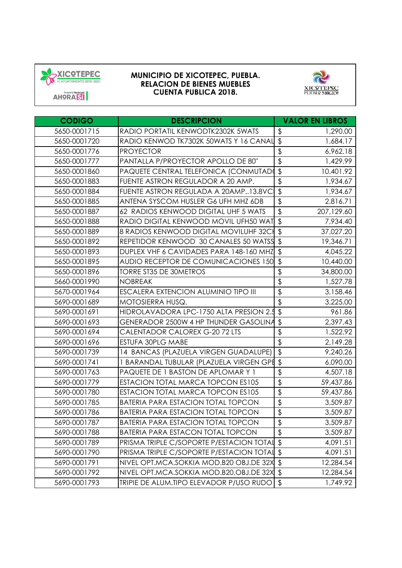



**CODIGO DESCRIPCION VALOR EN LIBROS** 5650-0001715 RADIO PORTATIL KENWODTK2302K 5WATS  $\frac{1}{3}$  1,290.00 5650-0001720 RADIO KENWOD TK7302K 50WATS Y 16 CANAL \$ 1,684.17 5650-0001776 PROYECTOR \$ 6,962.18 5650-0001777 PANTALLA P/PROYECTOR APOLLO DE 80" 1,429 \$ .99 5650-0001860 PAQUETE CENTRAL TELEFONICA (CONMUTADOR) \$ 10,401.92 5650-0001883 **FUENTE ASTRON REGULADOR A 20 AMP.** 1,934.67 5650-0001884 FUENTE ASTRON REGULADA A 20AMP..13.8VC \$ 1,934.67 5650-0001885 ANTENA SYSCOM HUSLER G6 UFH MHZ 6DB | \$2,816.71 5650-0001887 62 RADIOS KENWOOD DIGITAL UHE 5 WATS  $\frac{1}{3}$  707.129.60 5650-0001888 RADIO DIGITAL KENWOOD MOVIL UFH50 WAT S 5650-0001889 8 RADIOS KENWOOD DIGITAL MOVILUHF 32CH \$ 37,027.20 5650-0001892 REPETIDOR KENWOOD 30 CANALES 50 WATSS \$ 19,346.71 5650-0001893 **DUPLEX VHF 6 CAVIDADES PARA 148-160 MHZ** \$ 4,045.22 5650-0001895 AUDIO RECEPTOR DE COMUNICACIONES 150 \$ 10,440.00 5650-0001896 | TORRE ST35 DE 30METROS | \$ 34,800.00 5660-0001990 NOBREAK \$ 1,527.78 5670-0001964 **ESCALERA EXTENCION ALUMINIO TIPO III** \$ 3,158.46 5690-0001689 MOTOSIERRA HUSQ. \$ 3,225.00 5690-0001691 HIDROLAVADORA LPC-1750 ALTA PRESION 2.5 \$ 961.86 5690-0001693 GENERADOR 2500W 4 HP THUNDER GASOLINA \$ 2,397.43 5690-0001694 CALENTADOR CALOREX G-20 72 LTS 1,522.92 \$ 5690-0001696 **ESTUFA 30PLG MABE 1 \$** 2,149.28 5690-0001739 114 BANCAS (PLAZUELA VIRGEN GUADALUPE) 1 \$ 9.240.26 5690-0001741 | 1 BARANDAL TUBULAR (PLAZUELA VIRGEN GPE \$ 6,090.00 5690-0001763 PAQUETE DE 1 BASTON DE APLOMAR Y 1 4,507 \$ .18 5690-0001779 ESTACION TOTAL MARCA TOPCON ES105 | \$ .6990-0001779 | ESTACION TOTAL MARCA TOPCON ESTOS 5690-0001780 ESTACION TOTAL MARCA TOPCON ES105 \$ .6990-0001780 59,437.86 5690-0001785 BATERIA PARA ESTACION TOTAL TOPCON  $\frac{1}{3}$  . 3,509.87 5690-0001786 BATERIA PARA ESTACION TOTAL TOPCON 5 .6990-0001786 BATERIA PARA ESTACION TOTAL TOPCON 5690-0001787 BATERIA PARA ESTACION TOTAL TOPCON 1 \$ .6509.87 5690-0001788 BATERIA PARA ESTACON TOTAL TOPCON 5 5690-0001789 PRISMA TRIPLE C/SOPORTE P/ESTACION TOTAL \$ 4,091.51 5690-0001790 PRISMA TRIPLE C/SOPORTE P/ESTACION TOTAL \$ 4,091.51 5690-0001791 NIVEL OPT.MCA.SOKKIA MOD.B20 OBJ.DE 32X \$ 12,284.54 5690-0001792 NIVEL OPT.MCA.SOKKIA MOD.B20,OBJ.DE 32X \$ 12,284.54 5690-0001793 TRIPIE DE ALUM.TIPO ELEVADOR P/USO RUDO \$ 1,749.92